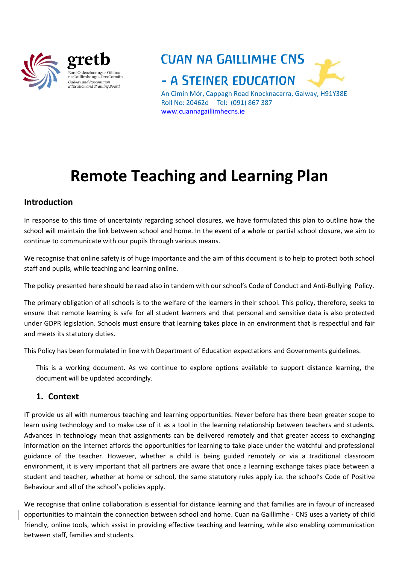

ous Oiliúna na Gaillimhe agus Ros Comáin Galway and Roscommon *Salway and Roscommon*<br>Education and Training Board

**CUAN NA GAILLIMHE CNS** - A STEINER EDUCATION An Cimín Mór, Cappagh Road Knocknacarra, Galway, H91Y38E

Roll No: 20462d Tel: (091) 867 387 [www.cuannagaillimhecns.ie](http://www.cuannagaillimhecns.ie/)

# **Remote Teaching and Learning Plan**

### **Introduction**

In response to this time of uncertainty regarding school closures, we have formulated this plan to outline how the school will maintain the link between school and home. In the event of a whole or partial school closure, we aim to continue to communicate with our pupils through various means.

We recognise that online safety is of huge importance and the aim of this document is to help to protect both school staff and pupils, while teaching and learning online.

The policy presented here should be read also in tandem with our school's Code of Conduct and Anti-Bullying Policy.

The primary obligation of all schools is to the welfare of the learners in their school. This policy, therefore, seeks to ensure that remote learning is safe for all student learners and that personal and sensitive data is also protected under GDPR legislation. Schools must ensure that learning takes place in an environment that is respectful and fair and meets its statutory duties.

This Policy has been formulated in line with Department of Education expectations and Governments guidelines.

This is a working document. As we continue to explore options available to support distance learning, the document will be updated accordingly.

## **1. Context**

IT provide us all with numerous teaching and learning opportunities. Never before has there been greater scope to learn using technology and to make use of it as a tool in the learning relationship between teachers and students. Advances in technology mean that assignments can be delivered remotely and that greater access to exchanging information on the internet affords the opportunities for learning to take place under the watchful and professional guidance of the teacher. However, whether a child is being guided remotely or via a traditional classroom environment, it is very important that all partners are aware that once a learning exchange takes place between a student and teacher, whether at home or school, the same statutory rules apply i.e. the school's Code of Positive Behaviour and all of the school's policies apply.

We recognise that online collaboration is essential for distance learning and that families are in favour of increased opportunities to maintain the connection between school and home. Cuan na Gaillimhe - CNS uses a variety of child friendly, online tools, which assist in providing effective teaching and learning, while also enabling communication between staff, families and students.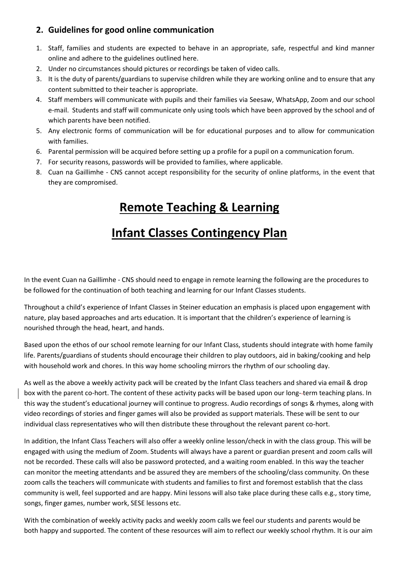## **2. Guidelines for good online communication**

- 1. Staff, families and students are expected to behave in an appropriate, safe, respectful and kind manner online and adhere to the guidelines outlined here.
- 2. Under no circumstances should pictures or recordings be taken of video calls.
- 3. It is the duty of parents/guardians to supervise children while they are working online and to ensure that any content submitted to their teacher is appropriate.
- 4. Staff members will communicate with pupils and their families via Seesaw, WhatsApp, Zoom and our school e-mail. Students and staff will communicate only using tools which have been approved by the school and of which parents have been notified.
- 5. Any electronic forms of communication will be for educational purposes and to allow for communication with families.
- 6. Parental permission will be acquired before setting up a profile for a pupil on a communication forum.
- 7. For security reasons, passwords will be provided to families, where applicable.
- 8. Cuan na Gaillimhe CNS cannot accept responsibility for the security of online platforms, in the event that they are compromised.

# **Remote Teaching & Learning**

# **Infant Classes Contingency Plan**

In the event Cuan na Gaillimhe - CNS should need to engage in remote learning the following are the procedures to be followed for the continuation of both teaching and learning for our Infant Classes students.

Throughout a child's experience of Infant Classes in Steiner education an emphasis is placed upon engagement with nature, play based approaches and arts education. It is important that the children's experience of learning is nourished through the head, heart, and hands.

Based upon the ethos of our school remote learning for our Infant Class, students should integrate with home family life. Parents/guardians of students should encourage their children to play outdoors, aid in baking/cooking and help with household work and chores. In this way home schooling mirrors the rhythm of our schooling day.

As well as the above a weekly activity pack will be created by the Infant Class teachers and shared via email & drop box with the parent co-hort. The content of these activity packs will be based upon our long-term teaching plans. In this way the student's educational journey will continue to progress. Audio recordings of songs & rhymes, along with video recordings of stories and finger games will also be provided as support materials. These will be sent to our individual class representatives who will then distribute these throughout the relevant parent co-hort.

In addition, the Infant Class Teachers will also offer a weekly online lesson/check in with the class group. This will be engaged with using the medium of Zoom. Students will always have a parent or guardian present and zoom calls will not be recorded. These calls will also be password protected, and a waiting room enabled. In this way the teacher can monitor the meeting attendants and be assured they are members of the schooling/class community. On these zoom calls the teachers will communicate with students and families to first and foremost establish that the class community is well, feel supported and are happy. Mini lessons will also take place during these calls e.g., story time, songs, finger games, number work, SESE lessons etc.

With the combination of weekly activity packs and weekly zoom calls we feel our students and parents would be both happy and supported. The content of these resources will aim to reflect our weekly school rhythm. It is our aim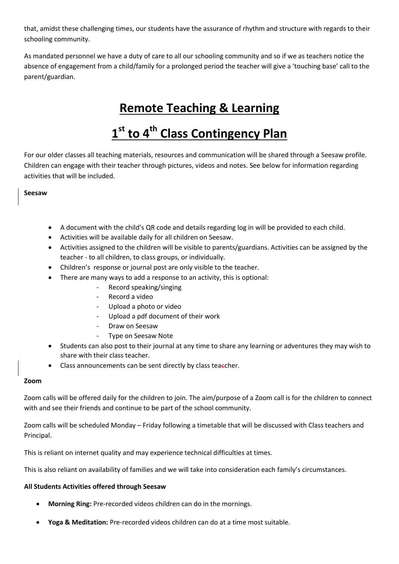that, amidst these challenging times, our students have the assurance of rhythm and structure with regards to their schooling community.

As mandated personnel we have a duty of care to all our schooling community and so if we as teachers notice the absence of engagement from a child/family for a prolonged period the teacher will give a 'touching base' call to the parent/guardian.

## **Remote Teaching & Learning**

# **1 st to 4th Class Contingency Plan**

For our older classes all teaching materials, resources and communication will be shared through a Seesaw profile. Children can engage with their teacher through pictures, videos and notes. See below for information regarding activities that will be included.

### **Seesaw**

- A document with the child's QR code and details regarding log in will be provided to each child.
- Activities will be available daily for all children on Seesaw.
- Activities assigned to the children will be visible to parents/guardians. Activities can be assigned by the teacher - to all children, to class groups, or individually.
- Children's response or journal post are only visible to the teacher.
- There are many ways to add a response to an activity, this is optional:
	- Record speaking/singing
	- Record a video
	- Upload a photo or video
	- Upload a pdf document of their work
	- Draw on Seesaw
	- Type on Seesaw Note
- Students can also post to their journal at any time to share any learning or adventures they may wish to share with their class teacher.
- Class announcements can be sent directly by class teaecher.

#### **Zoom**

Zoom calls will be offered daily for the children to join. The aim/purpose of a Zoom call is for the children to connect with and see their friends and continue to be part of the school community.

Zoom calls will be scheduled Monday – Friday following a timetable that will be discussed with Class teachers and Principal.

This is reliant on internet quality and may experience technical difficulties at times.

This is also reliant on availability of families and we will take into consideration each family's circumstances.

#### **All Students Activities offered through Seesaw**

- **Morning Ring:** Pre-recorded videos children can do in the mornings.
- **Yoga & Meditation:** Pre-recorded videos children can do at a time most suitable.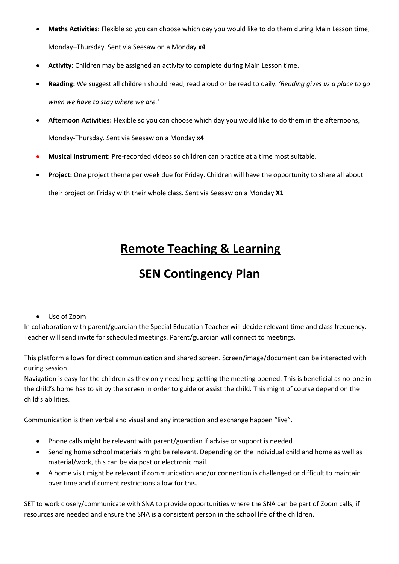- **Maths Activities:** Flexible so you can choose which day you would like to do them during Main Lesson time, Monday–Thursday. Sent via Seesaw on a Monday **x4**
- **Activity:** Children may be assigned an activity to complete during Main Lesson time.
- **Reading:** We suggest all children should read, read aloud or be read to daily. *'Reading gives us a place to go when we have to stay where we are.'*
- **Afternoon Activities:** Flexible so you can choose which day you would like to do them in the afternoons, Monday-Thursday. Sent via Seesaw on a Monday **x4**
- **Musical Instrument:** Pre-recorded videos so children can practice at a time most suitable.
- **Project:** One project theme per week due for Friday. Children will have the opportunity to share all about their project on Friday with their whole class. Sent via Seesaw on a Monday **X1**

## **Remote Teaching & Learning**

## **SEN Contingency Plan**

Use of Zoom

In collaboration with parent/guardian the Special Education Teacher will decide relevant time and class frequency. Teacher will send invite for scheduled meetings. Parent/guardian will connect to meetings.

This platform allows for direct communication and shared screen. Screen/image/document can be interacted with during session.

Navigation is easy for the children as they only need help getting the meeting opened. This is beneficial as no-one in the child's home has to sit by the screen in order to guide or assist the child. This might of course depend on the child's abilities.

Communication is then verbal and visual and any interaction and exchange happen "live".

- Phone calls might be relevant with parent/guardian if advise or support is needed
- Sending home school materials might be relevant. Depending on the individual child and home as well as material/work, this can be via post or electronic mail.
- A home visit might be relevant if communication and/or connection is challenged or difficult to maintain over time and if current restrictions allow for this.

SET to work closely/communicate with SNA to provide opportunities where the SNA can be part of Zoom calls, if resources are needed and ensure the SNA is a consistent person in the school life of the children.